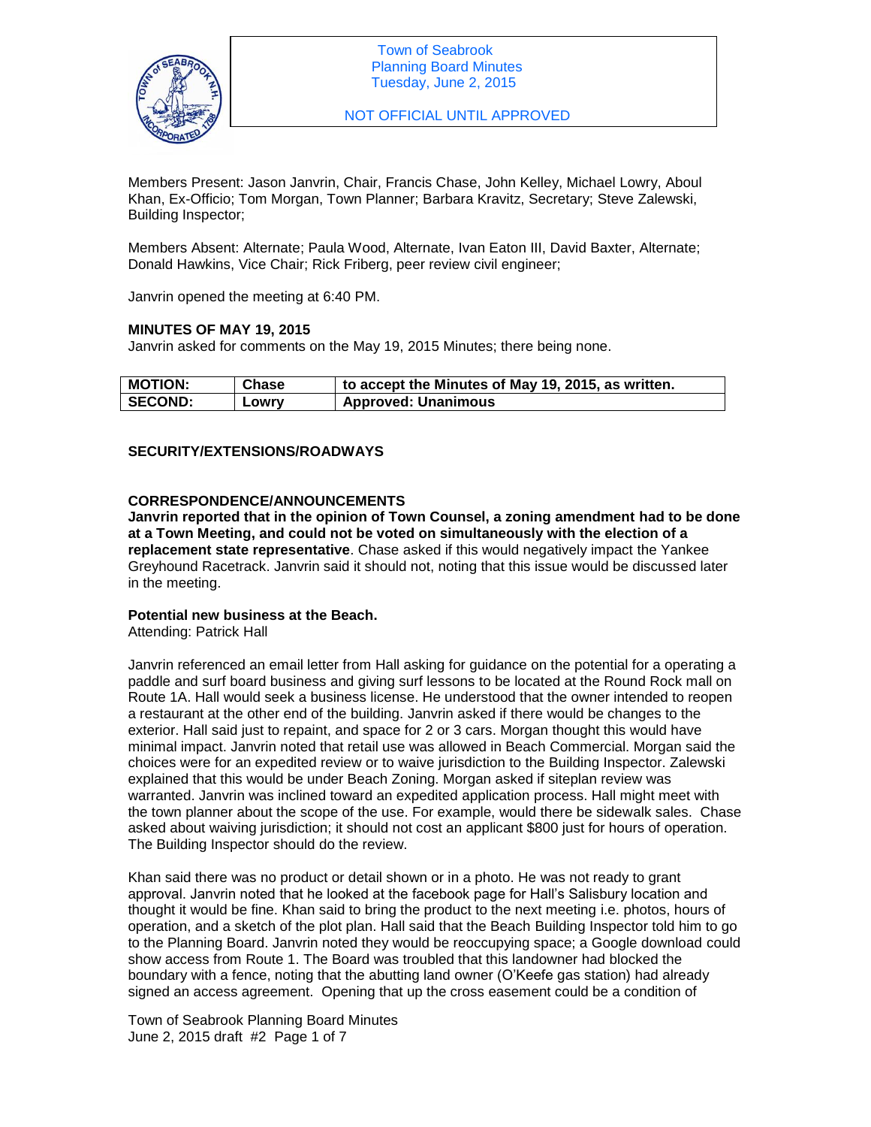

NOT OFFICIAL UNTIL APPROVED

Members Present: Jason Janvrin, Chair, Francis Chase, John Kelley, Michael Lowry, Aboul Khan, Ex-Officio; Tom Morgan, Town Planner; Barbara Kravitz, Secretary; Steve Zalewski, Building Inspector;

Members Absent: Alternate; Paula Wood, Alternate, Ivan Eaton III, David Baxter, Alternate; Donald Hawkins, Vice Chair; Rick Friberg, peer review civil engineer;

Janvrin opened the meeting at 6:40 PM.

# **MINUTES OF MAY 19, 2015**

Janvrin asked for comments on the May 19, 2015 Minutes; there being none.

| <b>MOTION:</b> | Chase | to accept the Minutes of May 19, 2015, as written. |
|----------------|-------|----------------------------------------------------|
| <b>SECOND:</b> | LOWIV | <b>Approved: Unanimous</b>                         |

## **SECURITY/EXTENSIONS/ROADWAYS**

## **CORRESPONDENCE/ANNOUNCEMENTS**

**Janvrin reported that in the opinion of Town Counsel, a zoning amendment had to be done at a Town Meeting, and could not be voted on simultaneously with the election of a replacement state representative**. Chase asked if this would negatively impact the Yankee Greyhound Racetrack. Janvrin said it should not, noting that this issue would be discussed later in the meeting.

## **Potential new business at the Beach.**

Attending: Patrick Hall

Janvrin referenced an email letter from Hall asking for guidance on the potential for a operating a paddle and surf board business and giving surf lessons to be located at the Round Rock mall on Route 1A. Hall would seek a business license. He understood that the owner intended to reopen a restaurant at the other end of the building. Janvrin asked if there would be changes to the exterior. Hall said just to repaint, and space for 2 or 3 cars. Morgan thought this would have minimal impact. Janvrin noted that retail use was allowed in Beach Commercial. Morgan said the choices were for an expedited review or to waive jurisdiction to the Building Inspector. Zalewski explained that this would be under Beach Zoning. Morgan asked if siteplan review was warranted. Janvrin was inclined toward an expedited application process. Hall might meet with the town planner about the scope of the use. For example, would there be sidewalk sales. Chase asked about waiving jurisdiction; it should not cost an applicant \$800 just for hours of operation. The Building Inspector should do the review.

Khan said there was no product or detail shown or in a photo. He was not ready to grant approval. Janvrin noted that he looked at the facebook page for Hall's Salisbury location and thought it would be fine. Khan said to bring the product to the next meeting i.e. photos, hours of operation, and a sketch of the plot plan. Hall said that the Beach Building Inspector told him to go to the Planning Board. Janvrin noted they would be reoccupying space; a Google download could show access from Route 1. The Board was troubled that this landowner had blocked the boundary with a fence, noting that the abutting land owner (O'Keefe gas station) had already signed an access agreement. Opening that up the cross easement could be a condition of

Town of Seabrook Planning Board Minutes June 2, 2015 draft #2 Page 1 of 7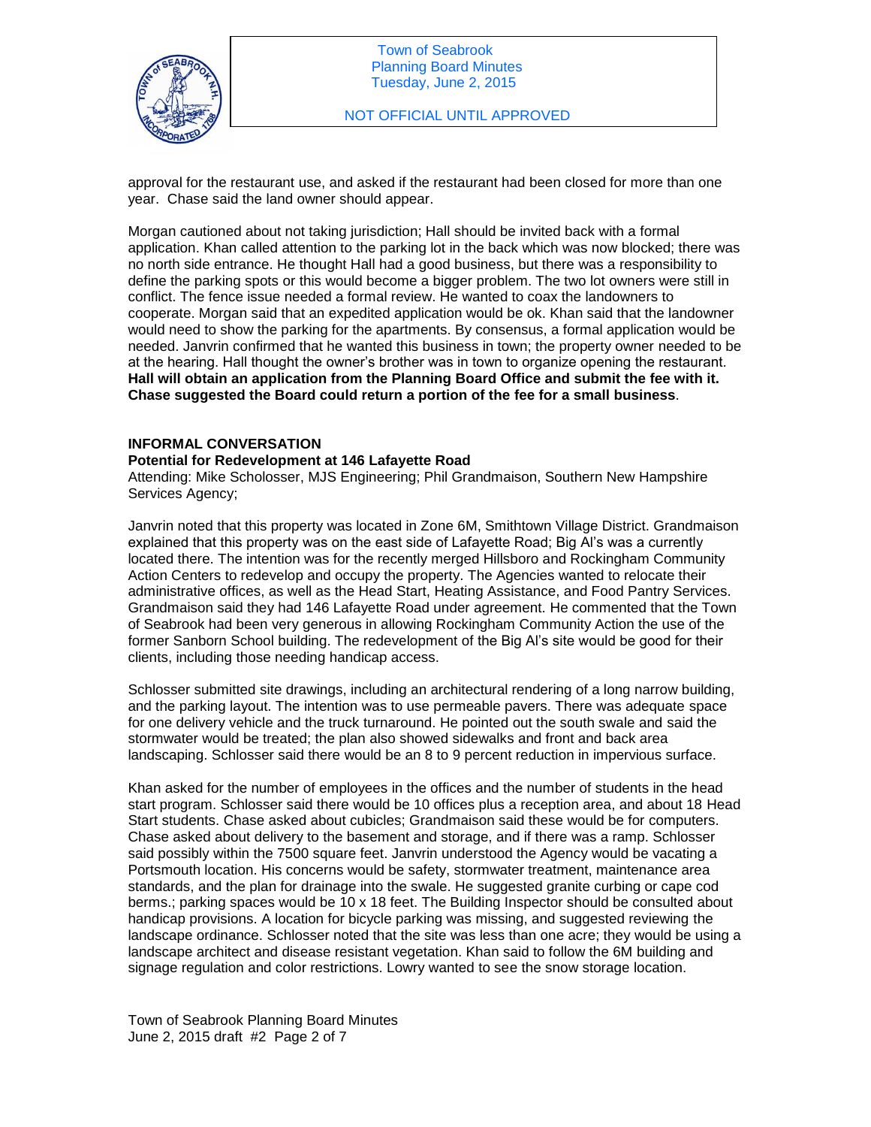

approval for the restaurant use, and asked if the restaurant had been closed for more than one year. Chase said the land owner should appear.

Morgan cautioned about not taking jurisdiction; Hall should be invited back with a formal application. Khan called attention to the parking lot in the back which was now blocked; there was no north side entrance. He thought Hall had a good business, but there was a responsibility to define the parking spots or this would become a bigger problem. The two lot owners were still in conflict. The fence issue needed a formal review. He wanted to coax the landowners to cooperate. Morgan said that an expedited application would be ok. Khan said that the landowner would need to show the parking for the apartments. By consensus, a formal application would be needed. Janvrin confirmed that he wanted this business in town; the property owner needed to be at the hearing. Hall thought the owner's brother was in town to organize opening the restaurant. **Hall will obtain an application from the Planning Board Office and submit the fee with it. Chase suggested the Board could return a portion of the fee for a small business**.

## **INFORMAL CONVERSATION**

#### **Potential for Redevelopment at 146 Lafayette Road**

Attending: Mike Scholosser, MJS Engineering; Phil Grandmaison, Southern New Hampshire Services Agency;

Janvrin noted that this property was located in Zone 6M, Smithtown Village District. Grandmaison explained that this property was on the east side of Lafayette Road; Big Al's was a currently located there. The intention was for the recently merged Hillsboro and Rockingham Community Action Centers to redevelop and occupy the property. The Agencies wanted to relocate their administrative offices, as well as the Head Start, Heating Assistance, and Food Pantry Services. Grandmaison said they had 146 Lafayette Road under agreement. He commented that the Town of Seabrook had been very generous in allowing Rockingham Community Action the use of the former Sanborn School building. The redevelopment of the Big Al's site would be good for their clients, including those needing handicap access.

Schlosser submitted site drawings, including an architectural rendering of a long narrow building, and the parking layout. The intention was to use permeable pavers. There was adequate space for one delivery vehicle and the truck turnaround. He pointed out the south swale and said the stormwater would be treated; the plan also showed sidewalks and front and back area landscaping. Schlosser said there would be an 8 to 9 percent reduction in impervious surface.

Khan asked for the number of employees in the offices and the number of students in the head start program. Schlosser said there would be 10 offices plus a reception area, and about 18 Head Start students. Chase asked about cubicles; Grandmaison said these would be for computers. Chase asked about delivery to the basement and storage, and if there was a ramp. Schlosser said possibly within the 7500 square feet. Janvrin understood the Agency would be vacating a Portsmouth location. His concerns would be safety, stormwater treatment, maintenance area standards, and the plan for drainage into the swale. He suggested granite curbing or cape cod berms.; parking spaces would be 10 x 18 feet. The Building Inspector should be consulted about handicap provisions. A location for bicycle parking was missing, and suggested reviewing the landscape ordinance. Schlosser noted that the site was less than one acre; they would be using a landscape architect and disease resistant vegetation. Khan said to follow the 6M building and signage regulation and color restrictions. Lowry wanted to see the snow storage location.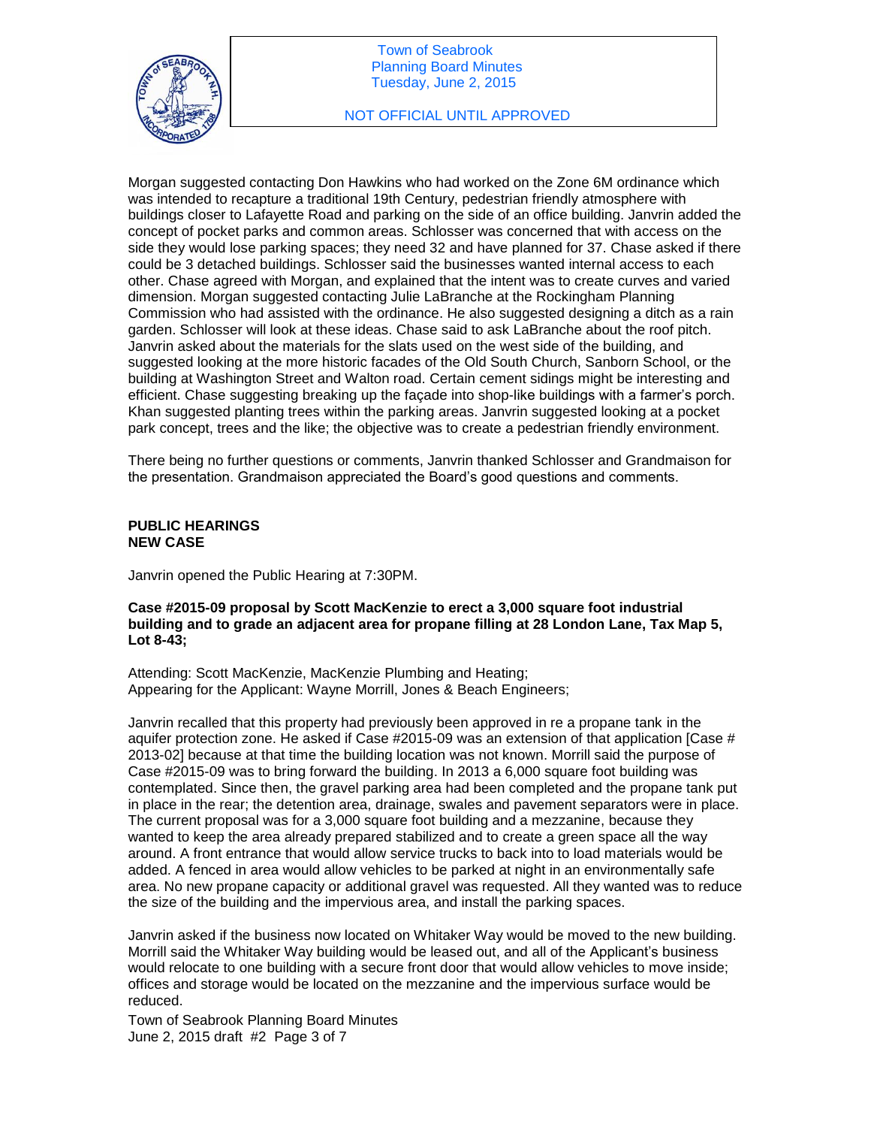

Morgan suggested contacting Don Hawkins who had worked on the Zone 6M ordinance which was intended to recapture a traditional 19th Century, pedestrian friendly atmosphere with buildings closer to Lafayette Road and parking on the side of an office building. Janvrin added the concept of pocket parks and common areas. Schlosser was concerned that with access on the side they would lose parking spaces; they need 32 and have planned for 37. Chase asked if there could be 3 detached buildings. Schlosser said the businesses wanted internal access to each other. Chase agreed with Morgan, and explained that the intent was to create curves and varied dimension. Morgan suggested contacting Julie LaBranche at the Rockingham Planning Commission who had assisted with the ordinance. He also suggested designing a ditch as a rain garden. Schlosser will look at these ideas. Chase said to ask LaBranche about the roof pitch. Janvrin asked about the materials for the slats used on the west side of the building, and suggested looking at the more historic facades of the Old South Church, Sanborn School, or the building at Washington Street and Walton road. Certain cement sidings might be interesting and efficient. Chase suggesting breaking up the façade into shop-like buildings with a farmer's porch. Khan suggested planting trees within the parking areas. Janvrin suggested looking at a pocket park concept, trees and the like; the objective was to create a pedestrian friendly environment.

There being no further questions or comments, Janvrin thanked Schlosser and Grandmaison for the presentation. Grandmaison appreciated the Board's good questions and comments.

# **PUBLIC HEARINGS NEW CASE**

Janvrin opened the Public Hearing at 7:30PM.

# **Case #2015-09 proposal by Scott MacKenzie to erect a 3,000 square foot industrial building and to grade an adjacent area for propane filling at 28 London Lane, Tax Map 5, Lot 8-43;**

Attending: Scott MacKenzie, MacKenzie Plumbing and Heating; Appearing for the Applicant: Wayne Morrill, Jones & Beach Engineers;

Janvrin recalled that this property had previously been approved in re a propane tank in the aquifer protection zone. He asked if Case #2015-09 was an extension of that application [Case # 2013-02] because at that time the building location was not known. Morrill said the purpose of Case #2015-09 was to bring forward the building. In 2013 a 6,000 square foot building was contemplated. Since then, the gravel parking area had been completed and the propane tank put in place in the rear; the detention area, drainage, swales and pavement separators were in place. The current proposal was for a 3,000 square foot building and a mezzanine, because they wanted to keep the area already prepared stabilized and to create a green space all the way around. A front entrance that would allow service trucks to back into to load materials would be added. A fenced in area would allow vehicles to be parked at night in an environmentally safe area. No new propane capacity or additional gravel was requested. All they wanted was to reduce the size of the building and the impervious area, and install the parking spaces.

Janvrin asked if the business now located on Whitaker Way would be moved to the new building. Morrill said the Whitaker Way building would be leased out, and all of the Applicant's business would relocate to one building with a secure front door that would allow vehicles to move inside; offices and storage would be located on the mezzanine and the impervious surface would be reduced.

Town of Seabrook Planning Board Minutes June 2, 2015 draft #2 Page 3 of 7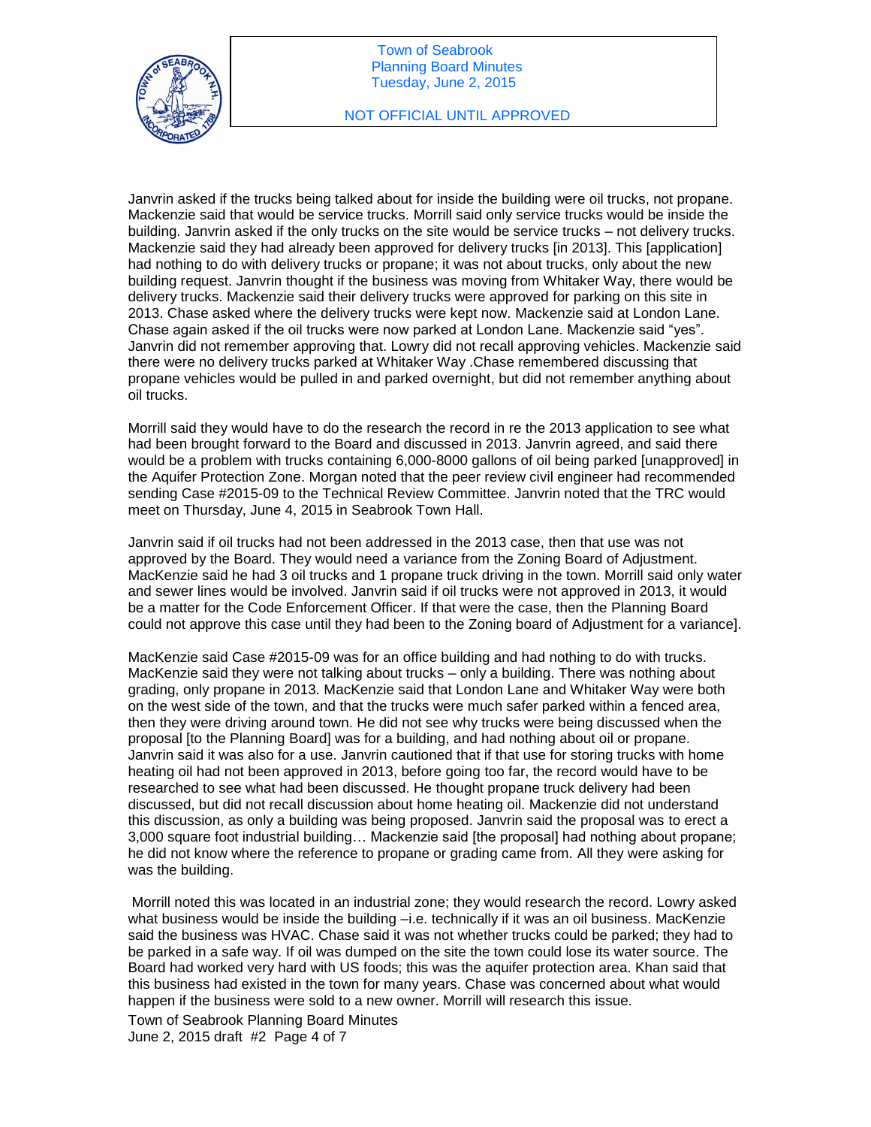

Janvrin asked if the trucks being talked about for inside the building were oil trucks, not propane. Mackenzie said that would be service trucks. Morrill said only service trucks would be inside the building. Janvrin asked if the only trucks on the site would be service trucks – not delivery trucks. Mackenzie said they had already been approved for delivery trucks [in 2013]. This [application] had nothing to do with delivery trucks or propane; it was not about trucks, only about the new building request. Janvrin thought if the business was moving from Whitaker Way, there would be delivery trucks. Mackenzie said their delivery trucks were approved for parking on this site in 2013. Chase asked where the delivery trucks were kept now. Mackenzie said at London Lane. Chase again asked if the oil trucks were now parked at London Lane. Mackenzie said "yes". Janvrin did not remember approving that. Lowry did not recall approving vehicles. Mackenzie said there were no delivery trucks parked at Whitaker Way .Chase remembered discussing that propane vehicles would be pulled in and parked overnight, but did not remember anything about oil trucks.

Morrill said they would have to do the research the record in re the 2013 application to see what had been brought forward to the Board and discussed in 2013. Janvrin agreed, and said there would be a problem with trucks containing 6,000-8000 gallons of oil being parked [unapproved] in the Aquifer Protection Zone. Morgan noted that the peer review civil engineer had recommended sending Case #2015-09 to the Technical Review Committee. Janvrin noted that the TRC would meet on Thursday, June 4, 2015 in Seabrook Town Hall.

Janvrin said if oil trucks had not been addressed in the 2013 case, then that use was not approved by the Board. They would need a variance from the Zoning Board of Adjustment. MacKenzie said he had 3 oil trucks and 1 propane truck driving in the town. Morrill said only water and sewer lines would be involved. Janvrin said if oil trucks were not approved in 2013, it would be a matter for the Code Enforcement Officer. If that were the case, then the Planning Board could not approve this case until they had been to the Zoning board of Adjustment for a variance].

MacKenzie said Case #2015-09 was for an office building and had nothing to do with trucks. MacKenzie said they were not talking about trucks – only a building. There was nothing about grading, only propane in 2013. MacKenzie said that London Lane and Whitaker Way were both on the west side of the town, and that the trucks were much safer parked within a fenced area, then they were driving around town. He did not see why trucks were being discussed when the proposal [to the Planning Board] was for a building, and had nothing about oil or propane. Janvrin said it was also for a use. Janvrin cautioned that if that use for storing trucks with home heating oil had not been approved in 2013, before going too far, the record would have to be researched to see what had been discussed. He thought propane truck delivery had been discussed, but did not recall discussion about home heating oil. Mackenzie did not understand this discussion, as only a building was being proposed. Janvrin said the proposal was to erect a 3,000 square foot industrial building… Mackenzie said [the proposal] had nothing about propane; he did not know where the reference to propane or grading came from. All they were asking for was the building.

Morrill noted this was located in an industrial zone; they would research the record. Lowry asked what business would be inside the building -i.e. technically if it was an oil business. MacKenzie said the business was HVAC. Chase said it was not whether trucks could be parked; they had to be parked in a safe way. If oil was dumped on the site the town could lose its water source. The Board had worked very hard with US foods; this was the aquifer protection area. Khan said that this business had existed in the town for many years. Chase was concerned about what would happen if the business were sold to a new owner. Morrill will research this issue.

Town of Seabrook Planning Board Minutes June 2, 2015 draft #2 Page 4 of 7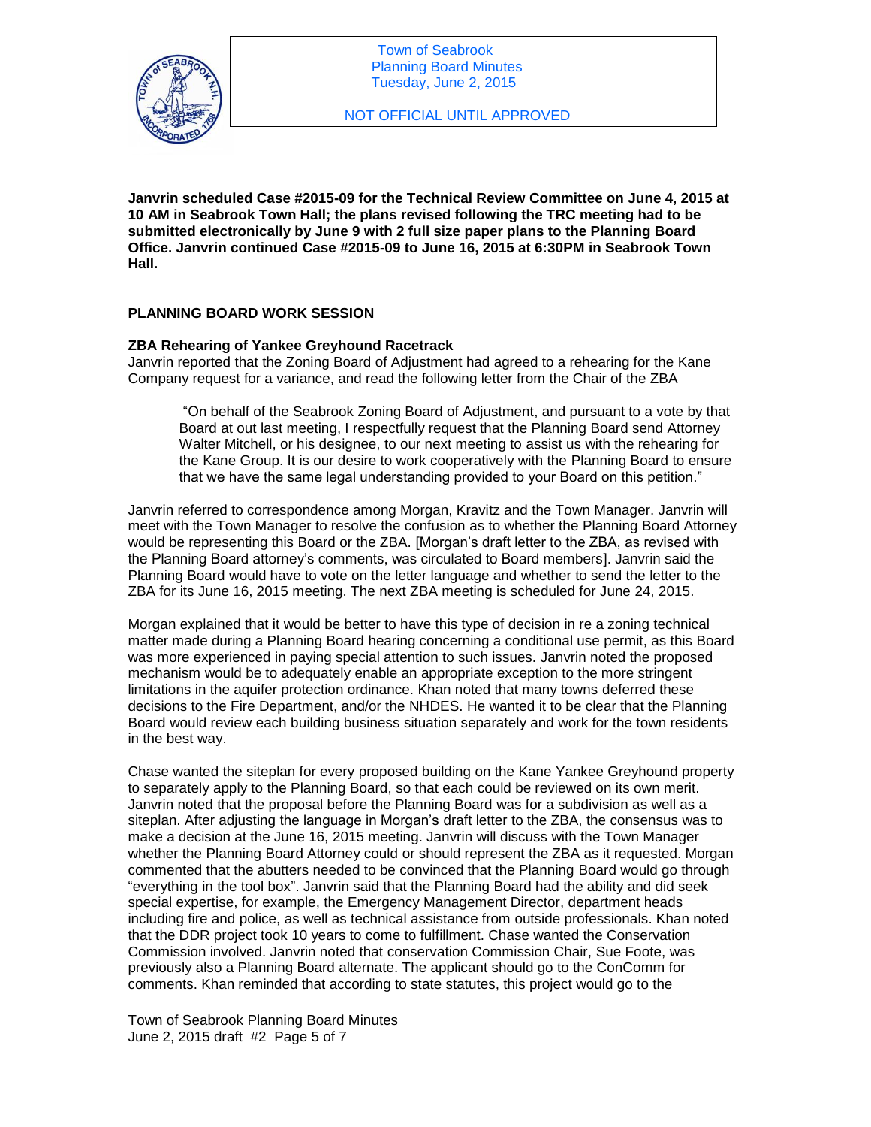

**Janvrin scheduled Case #2015-09 for the Technical Review Committee on June 4, 2015 at 10 AM in Seabrook Town Hall; the plans revised following the TRC meeting had to be submitted electronically by June 9 with 2 full size paper plans to the Planning Board Office. Janvrin continued Case #2015-09 to June 16, 2015 at 6:30PM in Seabrook Town Hall.** 

# **PLANNING BOARD WORK SESSION**

# **ZBA Rehearing of Yankee Greyhound Racetrack**

Janvrin reported that the Zoning Board of Adjustment had agreed to a rehearing for the Kane Company request for a variance, and read the following letter from the Chair of the ZBA

"On behalf of the Seabrook Zoning Board of Adjustment, and pursuant to a vote by that Board at out last meeting, I respectfully request that the Planning Board send Attorney Walter Mitchell, or his designee, to our next meeting to assist us with the rehearing for the Kane Group. It is our desire to work cooperatively with the Planning Board to ensure that we have the same legal understanding provided to your Board on this petition."

Janvrin referred to correspondence among Morgan, Kravitz and the Town Manager. Janvrin will meet with the Town Manager to resolve the confusion as to whether the Planning Board Attorney would be representing this Board or the ZBA. [Morgan's draft letter to the ZBA, as revised with the Planning Board attorney's comments, was circulated to Board members]. Janvrin said the Planning Board would have to vote on the letter language and whether to send the letter to the ZBA for its June 16, 2015 meeting. The next ZBA meeting is scheduled for June 24, 2015.

Morgan explained that it would be better to have this type of decision in re a zoning technical matter made during a Planning Board hearing concerning a conditional use permit, as this Board was more experienced in paying special attention to such issues. Janvrin noted the proposed mechanism would be to adequately enable an appropriate exception to the more stringent limitations in the aquifer protection ordinance. Khan noted that many towns deferred these decisions to the Fire Department, and/or the NHDES. He wanted it to be clear that the Planning Board would review each building business situation separately and work for the town residents in the best way.

Chase wanted the siteplan for every proposed building on the Kane Yankee Greyhound property to separately apply to the Planning Board, so that each could be reviewed on its own merit. Janvrin noted that the proposal before the Planning Board was for a subdivision as well as a siteplan. After adjusting the language in Morgan's draft letter to the ZBA, the consensus was to make a decision at the June 16, 2015 meeting. Janvrin will discuss with the Town Manager whether the Planning Board Attorney could or should represent the ZBA as it requested. Morgan commented that the abutters needed to be convinced that the Planning Board would go through "everything in the tool box". Janvrin said that the Planning Board had the ability and did seek special expertise, for example, the Emergency Management Director, department heads including fire and police, as well as technical assistance from outside professionals. Khan noted that the DDR project took 10 years to come to fulfillment. Chase wanted the Conservation Commission involved. Janvrin noted that conservation Commission Chair, Sue Foote, was previously also a Planning Board alternate. The applicant should go to the ConComm for comments. Khan reminded that according to state statutes, this project would go to the

Town of Seabrook Planning Board Minutes June 2, 2015 draft #2 Page 5 of 7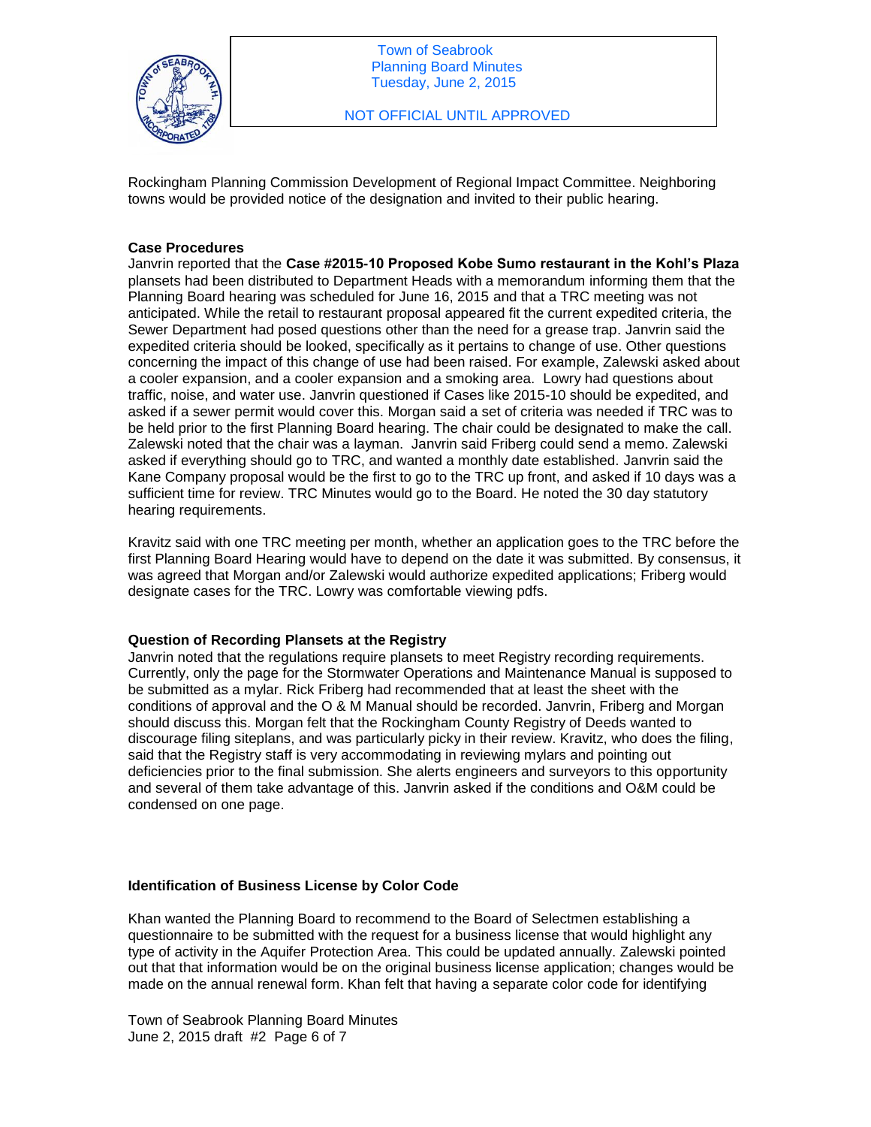

Rockingham Planning Commission Development of Regional Impact Committee. Neighboring towns would be provided notice of the designation and invited to their public hearing.

#### **Case Procedures**

Janvrin reported that the **Case #2015-10 Proposed Kobe Sumo restaurant in the Kohl's Plaza** plansets had been distributed to Department Heads with a memorandum informing them that the Planning Board hearing was scheduled for June 16, 2015 and that a TRC meeting was not anticipated. While the retail to restaurant proposal appeared fit the current expedited criteria, the Sewer Department had posed questions other than the need for a grease trap. Janvrin said the expedited criteria should be looked, specifically as it pertains to change of use. Other questions concerning the impact of this change of use had been raised. For example, Zalewski asked about a cooler expansion, and a cooler expansion and a smoking area. Lowry had questions about traffic, noise, and water use. Janvrin questioned if Cases like 2015-10 should be expedited, and asked if a sewer permit would cover this. Morgan said a set of criteria was needed if TRC was to be held prior to the first Planning Board hearing. The chair could be designated to make the call. Zalewski noted that the chair was a layman. Janvrin said Friberg could send a memo. Zalewski asked if everything should go to TRC, and wanted a monthly date established. Janvrin said the Kane Company proposal would be the first to go to the TRC up front, and asked if 10 days was a sufficient time for review. TRC Minutes would go to the Board. He noted the 30 day statutory hearing requirements.

Kravitz said with one TRC meeting per month, whether an application goes to the TRC before the first Planning Board Hearing would have to depend on the date it was submitted. By consensus, it was agreed that Morgan and/or Zalewski would authorize expedited applications; Friberg would designate cases for the TRC. Lowry was comfortable viewing pdfs.

#### **Question of Recording Plansets at the Registry**

Janvrin noted that the regulations require plansets to meet Registry recording requirements. Currently, only the page for the Stormwater Operations and Maintenance Manual is supposed to be submitted as a mylar. Rick Friberg had recommended that at least the sheet with the conditions of approval and the O & M Manual should be recorded. Janvrin, Friberg and Morgan should discuss this. Morgan felt that the Rockingham County Registry of Deeds wanted to discourage filing siteplans, and was particularly picky in their review. Kravitz, who does the filing, said that the Registry staff is very accommodating in reviewing mylars and pointing out deficiencies prior to the final submission. She alerts engineers and surveyors to this opportunity and several of them take advantage of this. Janvrin asked if the conditions and O&M could be condensed on one page.

## **Identification of Business License by Color Code**

Khan wanted the Planning Board to recommend to the Board of Selectmen establishing a questionnaire to be submitted with the request for a business license that would highlight any type of activity in the Aquifer Protection Area. This could be updated annually. Zalewski pointed out that that information would be on the original business license application; changes would be made on the annual renewal form. Khan felt that having a separate color code for identifying

Town of Seabrook Planning Board Minutes June 2, 2015 draft #2 Page 6 of 7